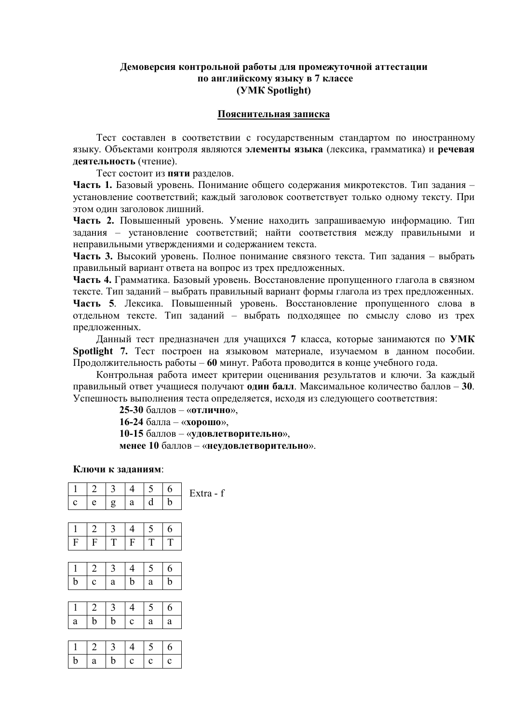### **Демоверсия контрольной работы для промежуточной аттестации по английскому языку в 7 классе (УМК Spotlight)**

## **Пояснительная записка**

Тест составлен в соответствии с государственным стандартом по иностранному языку. Объектами контроля являются **элементы языка** (лексика, грамматика) и **речевая деятельность** (чтение).

Тест состоит из **пяти** разделов.

**Часть 1.** Базовый уровень. Понимание общего содержания микротекстов. Тип задания – установление соответствий; каждый заголовок соответствует только одному тексту. При этом один заголовок лишний.

**Часть 2.** Повышенный уровень. Умение находить запрашиваемую информацию. Тип задания – установление соответствий; найти соответствия между правильными и неправильными утверждениями и содержанием текста.

**Часть 3.** Высокий уровень. Полное понимание связного текста. Тип задания – выбрать правильный вариант ответа на вопрос из трех предложенных.

**Часть 4.** Грамматика. Базовый уровень. Восстановление пропущенного глагола в связном тексте. Тип заданий – выбрать правильный вариант формы глагола из трех предложенных.

**Часть 5**. Лексика. Повышенный уровень. Восстановление пропущенного слова в отдельном тексте. Тип заданий – выбрать подходящее по смыслу слово из трех предложенных.

Данный тест предназначен для учащихся **7** класса, которые занимаются по **УМК Spotlight 7.** Тест построен на языковом материале, изучаемом в данном пособии. Продолжительность работы – **60** минут. Работа проводится в конце учебного года.

Контрольная работа имеет критерии оценивания результатов и ключи. За каждый правильный ответ учащиеся получают **один балл**. Максимальное количество баллов – **30**. Успешность выполнения теста определяется, исходя из следующего соответствия:

**25-30** баллов – «**отлично**»,

**16-24** балла – «**хорошо**»,

**10-15** баллов – «**удовлетворительно**»,

**менее 10** баллов – «**неудовлетворительно**».

#### **Ключи к заданиям**:

| $\mathbf{1}$              | $\overline{2}$   | 3 | $\overline{4}$   | 5 | 6             | Extra - f |
|---------------------------|------------------|---|------------------|---|---------------|-----------|
| $\mathbf c$               | e                | g | a                | d | b             |           |
|                           |                  |   |                  |   |               |           |
| $\mathbf{1}$              | $\overline{2}$   | 3 | $\overline{4}$   | 5 | 6             |           |
| $\boldsymbol{\mathrm{F}}$ | $\boldsymbol{F}$ | T | $\boldsymbol{F}$ | T | T             |           |
|                           |                  |   |                  |   |               |           |
| $\mathbf{1}$              | $\overline{2}$   | 3 | $\overline{4}$   | 5 | 6             |           |
| b                         | $\mathbf c$      | a | b                | a | $\mathfrak b$ |           |
|                           |                  |   |                  |   |               |           |
| 1                         | $\overline{2}$   | 3 | $\overline{4}$   | 5 | 6             |           |
| $\rm{a}$                  | b                | b | $\mathbf C$      | a | a             |           |
|                           |                  |   |                  |   |               |           |
| $\mathbf{1}$              | $\overline{2}$   | 3 | $\overline{4}$   | 5 | 6             |           |
| b                         | a                | b | $\mathbf c$      | c | $\mathbf c$   |           |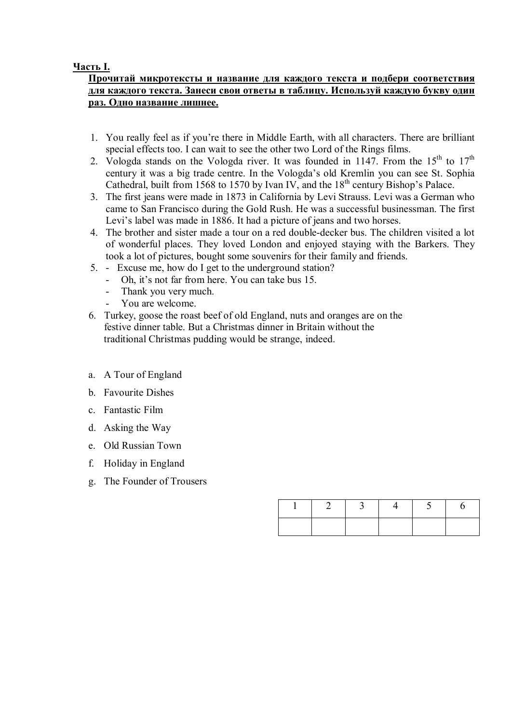## **Часть I.**

## **Прочитай микротексты и название для каждого текста и подбери соответствия для каждого текста. Занеси свои ответы в таблицу. Используй каждую букву один раз. Одно название лишнее.**

- 1. You really feel as if you're there in Middle Earth, with all characters. There are brilliant special effects too. I can wait to see the other two Lord of the Rings films.
- 2. Vologda stands on the Vologda river. It was founded in 1147. From the  $15<sup>th</sup>$  to  $17<sup>th</sup>$ century it was a big trade centre. In the Vologda's old Kremlin you can see St. Sophia Cathedral, built from 1568 to 1570 by Ivan IV, and the  $18<sup>th</sup>$  century Bishop's Palace.
- 3. The first jeans were made in 1873 in California by Levi Strauss. Levi was a German who came to San Francisco during the Gold Rush. He was a successful businessman. The first Levi's label was made in 1886. It had a picture of jeans and two horses.
- 4. The brother and sister made a tour on a red double-decker bus. The children visited a lot of wonderful places. They loved London and enjoyed staying with the Barkers. They took a lot of pictures, bought some souvenirs for their family and friends.
- 5. Excuse me, how do I get to the underground station?
	- Oh, it's not far from here. You can take bus 15.
	- Thank you very much.
	- You are welcome.
- 6. Turkey, goose the roast beef of old England, nuts and oranges are on the festive dinner table. But a Christmas dinner in Britain without the traditional Christmas pudding would be strange, indeed.
- a. A Tour of England
- b. Favourite Dishes
- c. Fantastic Film
- d. Asking the Way
- e. Old Russian Town
- f. Holiday in England
- g. The Founder of Trousers

|  | 4 |  |
|--|---|--|
|  |   |  |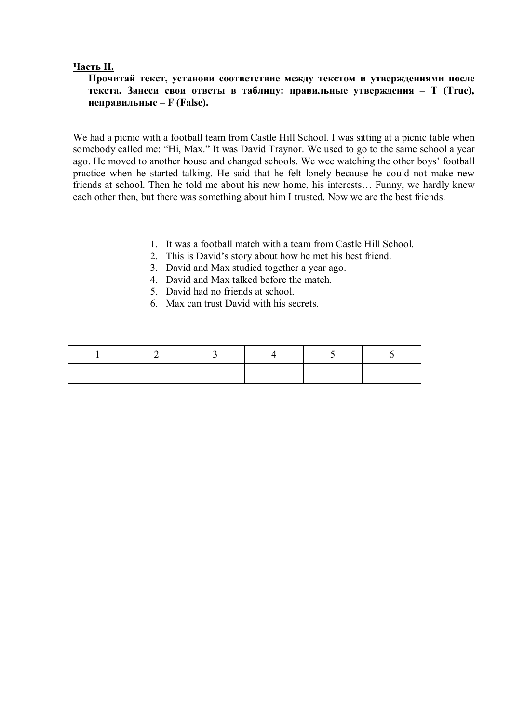### **Часть II.**

## **Прочитай текст, установи соответствие между текстом и утверждениями после текста. Занеси свои ответы в таблицу: правильные утверждения – Т (True), неправильные – F (False).**

We had a picnic with a football team from Castle Hill School. I was sitting at a picnic table when somebody called me: "Hi, Max." It was David Traynor. We used to go to the same school a year ago. He moved to another house and changed schools. We wee watching the other boys' football practice when he started talking. He said that he felt lonely because he could not make new friends at school. Then he told me about his new home, his interests… Funny, we hardly knew each other then, but there was something about him I trusted. Now we are the best friends.

- 1. It was a football match with a team from Castle Hill School.
- 2. This is David's story about how he met his best friend.
- 3. David and Max studied together a year ago.
- 4. David and Max talked before the match.
- 5. David had no friends at school.
- 6. Max can trust David with his secrets.

| $\mathbf{L}$ | $\angle$ | $\overline{3}$ |  |  |
|--------------|----------|----------------|--|--|
|              |          |                |  |  |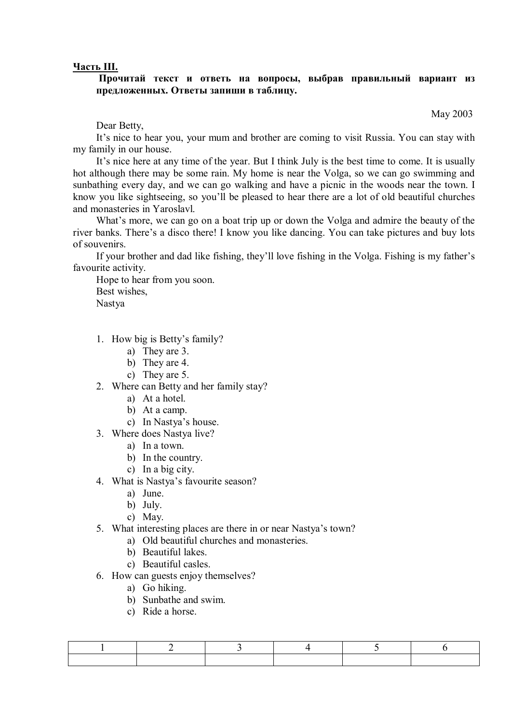#### **Часть III.**

### **Прочитай текст и ответь на вопросы, выбрав правильный вариант из предложенных. Ответы запиши в таблицу.**

May 2003

Dear Betty,

It's nice to hear you, your mum and brother are coming to visit Russia. You can stay with my family in our house.

It's nice here at any time of the year. But I think July is the best time to come. It is usually hot although there may be some rain. My home is near the Volga, so we can go swimming and sunbathing every day, and we can go walking and have a picnic in the woods near the town. I know you like sightseeing, so you'll be pleased to hear there are a lot of old beautiful churches and monasteries in Yaroslavl.

What's more, we can go on a boat trip up or down the Volga and admire the beauty of the river banks. There's a disco there! I know you like dancing. You can take pictures and buy lots of souvenirs.

If your brother and dad like fishing, they'll love fishing in the Volga. Fishing is my father's favourite activity.

Hope to hear from you soon. Best wishes, Nastya

- 1. How big is Betty's family?
	- a) They are 3.
	- b) They are 4.
	- c) They are 5.
- 2. Where can Betty and her family stay?
	- a) At a hotel.
	- b) At a camp.
	- c) In Nastya's house.
- 3. Where does Nastya live?
	- a) In a town.
	- b) In the country.
	- c) In a big city.
- 4. What is Nastya's favourite season?
	- a) June.
	- b) July.
	- c) May.
- 5. What interesting places are there in or near Nastya's town?
	- a) Old beautiful churches and monasteries.
	- b) Beautiful lakes.
	- c) Beautiful casles.
- 6. How can guests enjoy themselves?
	- a) Go hiking.
	- b) Sunbathe and swim.
	- c) Ride a horse.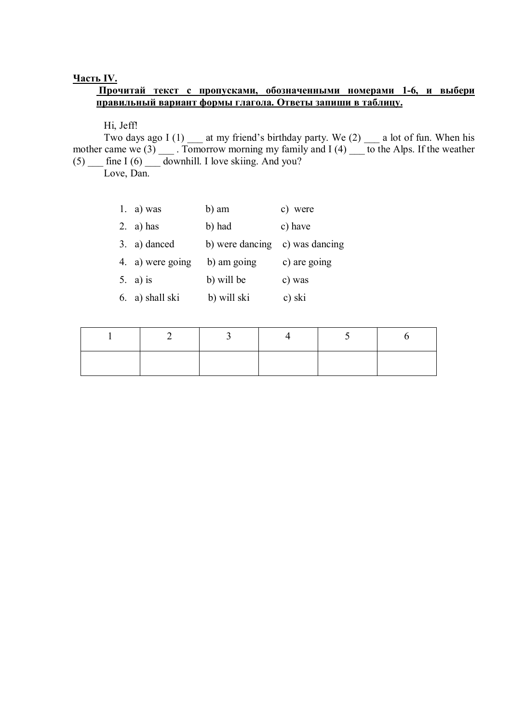### **Часть IV.**

## **Прочитай текст с пропусками, обозначенными номерами 1-6, и выбери правильный вариант формы глагола. Ответы запиши в таблицу.**

## Hi, Jeff!

Two days ago I (1) at my friend's birthday party. We (2)  $\qquad$  a lot of fun. When his mother came we (3) \_\_\_ . Tomorrow morning my family and I (4) \_\_\_ to the Alps. If the weather  $(5)$   $\frac{1}{\sqrt{10}}$  fine I  $(6)$   $\frac{1}{\sqrt{10}}$  downhill. I love skiing. And you?

Love, Dan.

| 1. a) was        | b) am           | c) were        |
|------------------|-----------------|----------------|
| 2. a) has        | b) had          | c) have        |
| 3. a) danced     | b) were dancing | c) was dancing |
| 4. a) were going | b) am going     | c) are going   |
| 5. a) is         | b) will be      | c) was         |
| 6. a) shall ski  | b) will ski     | c) ski         |

| $\angle$ | $\overline{3}$ | $\overline{z}$ | h |
|----------|----------------|----------------|---|
|          |                |                |   |